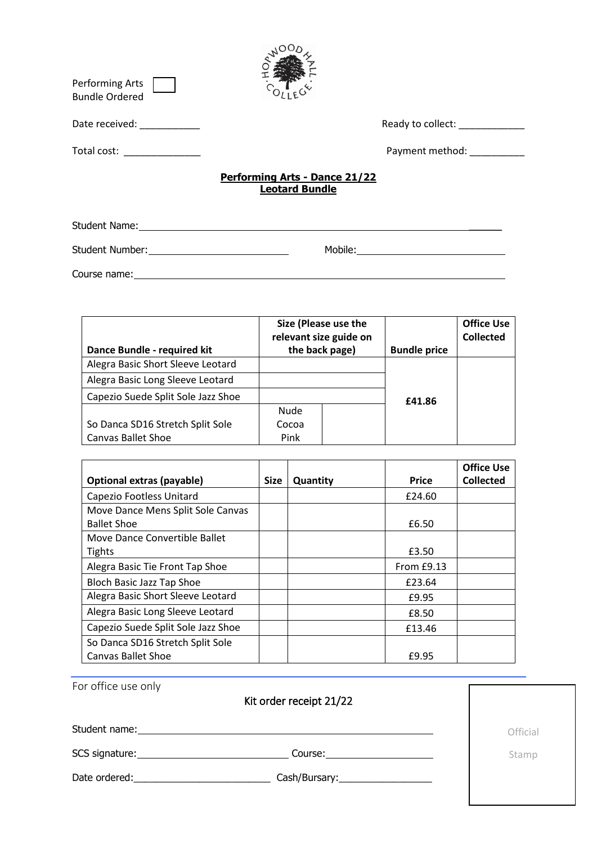| Performing Arts<br><b>Bundle Ordered</b>                                                                                                                                                                                       |                                                                                                                                                                                                                                |  |
|--------------------------------------------------------------------------------------------------------------------------------------------------------------------------------------------------------------------------------|--------------------------------------------------------------------------------------------------------------------------------------------------------------------------------------------------------------------------------|--|
| Date received: National Contract of the Contract of the Contract of the Contract of the Contract of the Contract of the Contract of the Contract of the Contract of the Contract of the Contract of the Contract of the Contra | Ready to collect: Neady to collect:                                                                                                                                                                                            |  |
| Total cost: ______________                                                                                                                                                                                                     | Payment method: National Payment method:                                                                                                                                                                                       |  |
|                                                                                                                                                                                                                                | <b>Performing Arts - Dance 21/22</b><br><b>Leotard Bundle</b>                                                                                                                                                                  |  |
|                                                                                                                                                                                                                                | Student Name: Name and Student Name and Student Name and Student Name and Student Name and Student Name and Student Name and Student Name and Student Name and Student Name and Student Name and Student Name and Student Name |  |
|                                                                                                                                                                                                                                |                                                                                                                                                                                                                                |  |
| Course name:                                                                                                                                                                                                                   |                                                                                                                                                                                                                                |  |

| Dance Bundle - required kit        |             | Size (Please use the<br>relevant size guide on<br>the back page) | <b>Bundle price</b> | <b>Office Use</b><br><b>Collected</b> |
|------------------------------------|-------------|------------------------------------------------------------------|---------------------|---------------------------------------|
| Alegra Basic Short Sleeve Leotard  |             |                                                                  |                     |                                       |
| Alegra Basic Long Sleeve Leotard   |             |                                                                  |                     |                                       |
| Capezio Suede Split Sole Jazz Shoe |             |                                                                  | £41.86              |                                       |
|                                    | <b>Nude</b> |                                                                  |                     |                                       |
| So Danca SD16 Stretch Split Sole   | Cocoa       |                                                                  |                     |                                       |
| <b>Canvas Ballet Shoe</b>          | Pink        |                                                                  |                     |                                       |

|                                    |             |          |              | <b>Office Use</b> |
|------------------------------------|-------------|----------|--------------|-------------------|
| Optional extras (payable)          | <b>Size</b> | Quantity | <b>Price</b> | <b>Collected</b>  |
| Capezio Footless Unitard           |             |          | £24.60       |                   |
| Move Dance Mens Split Sole Canvas  |             |          |              |                   |
| <b>Ballet Shoe</b>                 |             |          | £6.50        |                   |
| Move Dance Convertible Ballet      |             |          |              |                   |
| <b>Tights</b>                      |             |          | £3.50        |                   |
| Alegra Basic Tie Front Tap Shoe    |             |          | From $E9.13$ |                   |
| Bloch Basic Jazz Tap Shoe          |             |          | £23.64       |                   |
| Alegra Basic Short Sleeve Leotard  |             |          | £9.95        |                   |
| Alegra Basic Long Sleeve Leotard   |             |          | £8.50        |                   |
| Capezio Suede Split Sole Jazz Shoe |             |          | £13.46       |                   |
| So Danca SD16 Stretch Split Sole   |             |          |              |                   |
| <b>Canvas Ballet Shoe</b>          |             |          | £9.95        |                   |

| For office use only<br>Kit order receipt 21/22                                                                                                                                                                                                                                   |          |
|----------------------------------------------------------------------------------------------------------------------------------------------------------------------------------------------------------------------------------------------------------------------------------|----------|
| Student name: 1997                                                                                                                                                                                                                                                               | Official |
| SCS signature: Note and the set of the set of the set of the set of the set of the set of the set of the set of the set of the set of the set of the set of the set of the set of the set of the set of the set of the set of<br>Course: <u>________________________________</u> | Stamp    |
| Date ordered: and the state of the state of the state of the state of the state of the state of the state of the state of the state of the state of the state of the state of the state of the state of the state of the state                                                   |          |